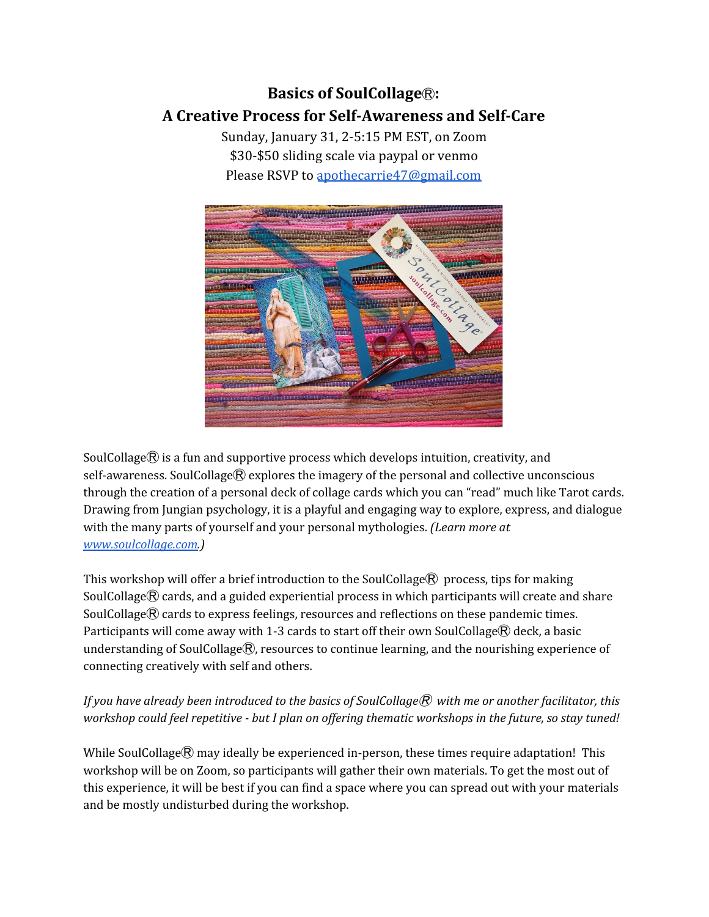## **Basics of SoulCollage**Ⓡ**: A Creative Process for Self-Awareness and Self-Care**

Sunday, January 31, 2-5:15 PM EST, on Zoom \$30-\$50 sliding scale via paypal or venmo Please RSVP to [apothecarrie47@gmail.com](mailto:apothecarrie47@gmail.com)



SoulCollage $\circledR$  is a fun and supportive process which develops intuition, creativity, and self-awareness. SoulCollage® explores the imagery of the personal and collective unconscious through the creation of a personal deck of collage cards which you can "read" much like Tarot cards. Drawing from Jungian psychology, it is a playful and engaging way to explore, express, and dialogue with the many parts of yourself and your personal mythologies. *(Learn more at [www.soulcollage.com.](http://www.soulcollage.com/))*

This workshop will offer a brief introduction to the SoulCollage $\mathcal{R}$  process, tips for making SoulCollage $\mathcal{R}$  cards, and a guided experiential process in which participants will create and share SoulCollage $\mathbb R$  cards to express feelings, resources and reflections on these pandemic times. Participants will come away with 1-3 cards to start off their own SoulCollage $\mathcal{R}$  deck, a basic understanding of SoulCollage®, resources to continue learning, and the nourishing experience of connecting creatively with self and others.

*If you have already been introduced to the basics of SoulCollage*Ⓡ *with me or another facilitator, this* workshop could feel repetitive - but I plan on offering thematic workshops in the future, so stay tuned!

While SoulCollage $\mathbb R$  may ideally be experienced in-person, these times require adaptation! This workshop will be on Zoom, so participants will gather their own materials. To get the most out of this experience, it will be best if you can find a space where you can spread out with your materials and be mostly undisturbed during the workshop.